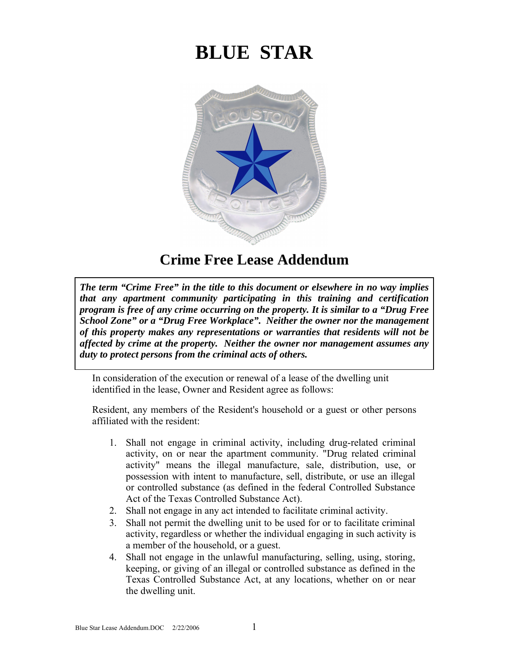## **BLUE STAR**



## **Crime Free Lease Addendum**

The term "Crime Free" in the title to this document or elsewhere in no way implies that any apartment community participating in this training and certification program is free of any crime occurring on the property. It is similar to a "Drug Free School Zone" or a "Drug Free Workplace". Neither the owner nor the management of this property makes any representations or warranties that residents will not be affected by crime at the property. Neither the owner nor management assumes any duty to protect persons from the criminal acts of others.

In consideration of the execution or renewal of a lease of the dwelling unit identified in the lease, Owner and Resident agree as follows:

Resident, any members of the Resident's household or a guest or other persons affiliated with the resident:

- 1. Shall not engage in criminal activity, including drug-related criminal activity, on or near the apartment community. "Drug related criminal activity" means the illegal manufacture, sale, distribution, use, or possession with intent to manufacture, sell, distribute, or use an illegal or controlled substance (as defined in the federal Controlled Substance Act of the Texas Controlled Substance Act).
- 2. Shall not engage in any act intended to facilitate criminal activity.
- 3. Shall not permit the dwelling unit to be used for or to facilitate criminal activity, regardless or whether the individual engaging in such activity is a member of the household, or a guest.
- 4. Shall not engage in the unlawful manufacturing, selling, using, storing, keeping, or giving of an illegal or controlled substance as defined in the Texas Controlled Substance Act, at any locations, whether on or near the dwelling unit.